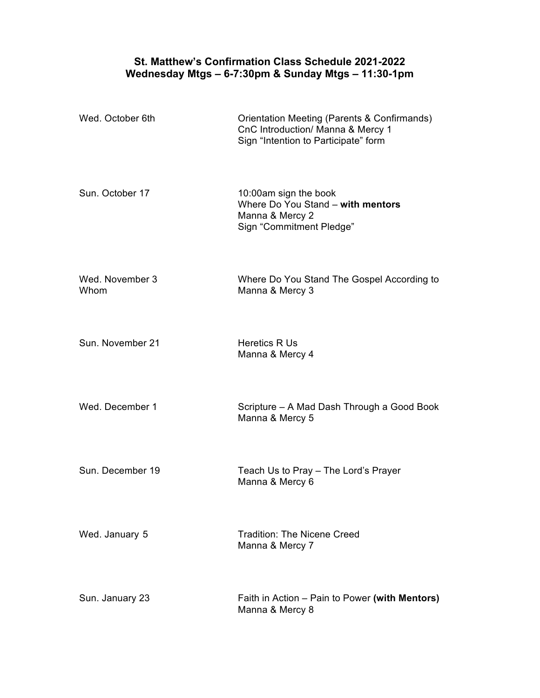## **St. Matthew's Confirmation Class Schedule 2021-2022 Wednesday Mtgs – 6-7:30pm & Sunday Mtgs – 11:30-1pm**

| Wed. October 6th        | Orientation Meeting (Parents & Confirmands)<br>CnC Introduction/ Manna & Mercy 1<br>Sign "Intention to Participate" form |
|-------------------------|--------------------------------------------------------------------------------------------------------------------------|
| Sun. October 17         | 10:00am sign the book<br>Where Do You Stand - with mentors<br>Manna & Mercy 2<br>Sign "Commitment Pledge"                |
| Wed. November 3<br>Whom | Where Do You Stand The Gospel According to<br>Manna & Mercy 3                                                            |
| Sun. November 21        | Heretics R Us<br>Manna & Mercy 4                                                                                         |
| Wed. December 1         | Scripture - A Mad Dash Through a Good Book<br>Manna & Mercy 5                                                            |
| Sun. December 19        | Teach Us to Pray - The Lord's Prayer<br>Manna & Mercy 6                                                                  |
| Wed. January 5          | <b>Tradition: The Nicene Creed</b><br>Manna & Mercy 7                                                                    |
| Sun. January 23         | Faith in Action – Pain to Power (with Mentors)<br>Manna & Mercy 8                                                        |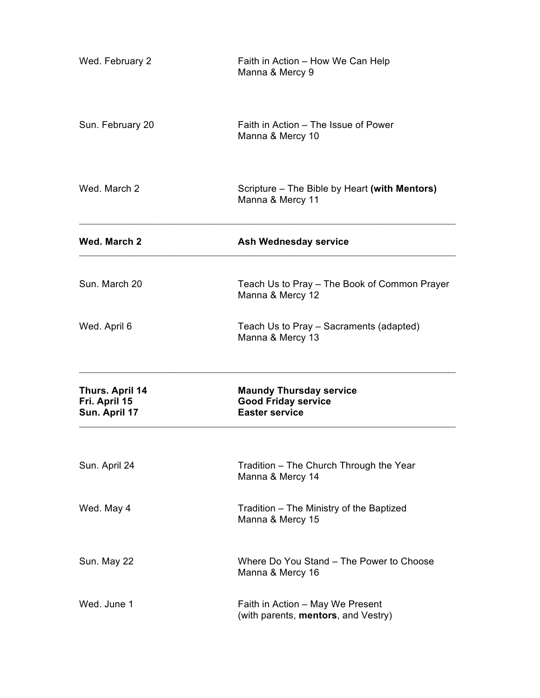| Wed. February 2                                   | Faith in Action - How We Can Help<br>Manna & Mercy 9                                  |
|---------------------------------------------------|---------------------------------------------------------------------------------------|
| Sun. February 20                                  | Faith in Action - The Issue of Power<br>Manna & Mercy 10                              |
| Wed. March 2                                      | Scripture – The Bible by Heart (with Mentors)<br>Manna & Mercy 11                     |
| Wed. March 2                                      | <b>Ash Wednesday service</b>                                                          |
| Sun. March 20                                     | Teach Us to Pray - The Book of Common Prayer<br>Manna & Mercy 12                      |
| Wed. April 6                                      | Teach Us to Pray - Sacraments (adapted)<br>Manna & Mercy 13                           |
| Thurs. April 14<br>Fri. April 15<br>Sun. April 17 | <b>Maundy Thursday service</b><br><b>Good Friday service</b><br><b>Easter service</b> |
| Sun. April 24                                     | Tradition - The Church Through the Year<br>Manna & Mercy 14                           |
| Wed. May 4                                        | Tradition - The Ministry of the Baptized<br>Manna & Mercy 15                          |
| Sun. May 22                                       | Where Do You Stand - The Power to Choose<br>Manna & Mercy 16                          |
| Wed. June 1                                       | Faith in Action - May We Present<br>(with parents, mentors, and Vestry)               |